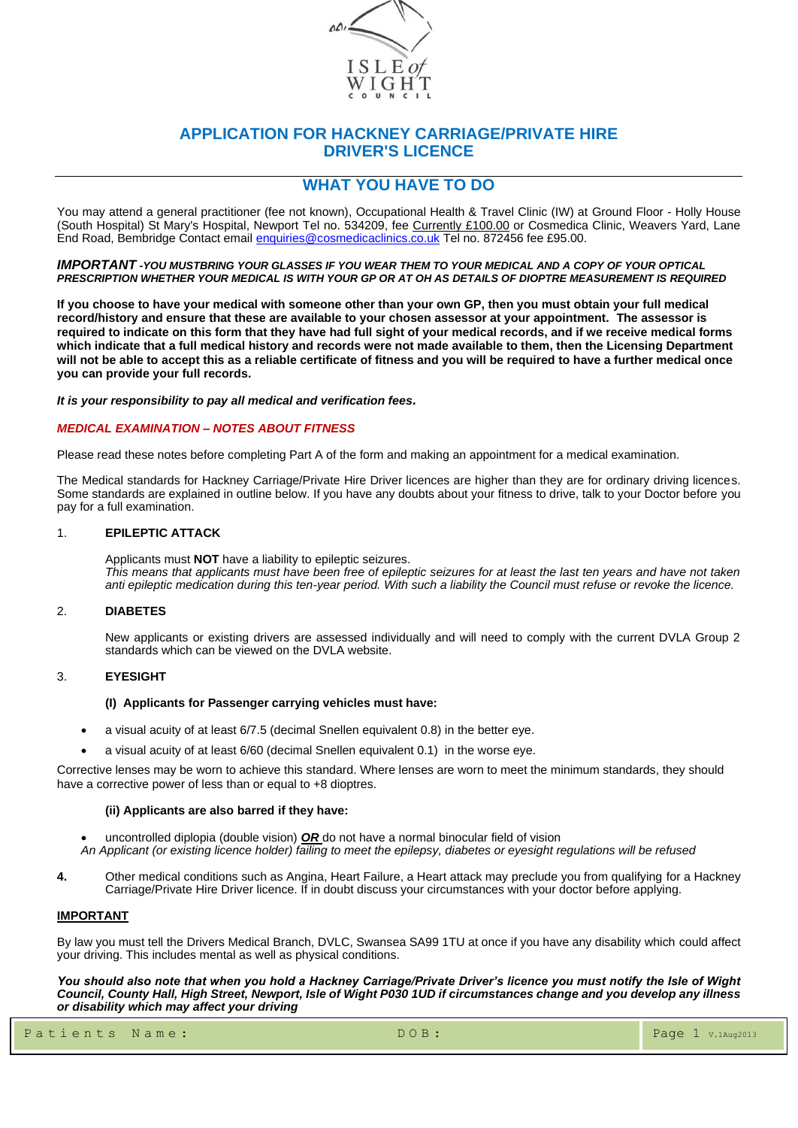

### **APPLICATION FOR HACKNEY CARRIAGE/PRIVATE HIRE DRIVER'S LICENCE**

### **WHAT YOU HAVE TO DO**

You may attend a general practitioner (fee not known), Occupational Health & Travel Clinic (IW) at Ground Floor - Holly House (South Hospital) St Mary's Hospital, Newport Tel no. 534209, fee <u>Currently £100.00</u> or Cosmedica Clinic, Weavers Yard, Lane End Road, Bembridge Contact email [enquiries@cosmedicaclinics.co.uk](mailto:enquiries@cosmedicaclinics.co.uk) Tel no. 872456 fee £95.00.

*IMPORTANT -YOU MUSTBRING YOUR GLASSES IF YOU WEAR THEM TO YOUR MEDICAL AND A COPY OF YOUR OPTICAL PRESCRIPTION WHETHER YOUR MEDICAL IS WITH YOUR GP OR AT OH AS DETAILS OF DIOPTRE MEASUREMENT IS REQUIRED*

**If you choose to have your medical with someone other than your own GP, then you must obtain your full medical record/history and ensure that these are available to your chosen assessor at your appointment. The assessor is required to indicate on this form that they have had full sight of your medical records, and if we receive medical forms which indicate that a full medical history and records were not made available to them, then the Licensing Department will not be able to accept this as a reliable certificate of fitness and you will be required to have a further medical once you can provide your full records.**

*It is your responsibility to pay all medical and verification fees.* 

#### *MEDICAL EXAMINATION – NOTES ABOUT FITNESS*

Please read these notes before completing Part A of the form and making an appointment for a medical examination.

The Medical standards for Hackney Carriage/Private Hire Driver licences are higher than they are for ordinary driving licences. Some standards are explained in outline below. If you have any doubts about your fitness to drive, talk to your Doctor before you pay for a full examination.

#### 1. **EPILEPTIC ATTACK**

Applicants must **NOT** have a liability to epileptic seizures. *This means that applicants must have been free of epileptic seizures for at least the last ten years and have not taken anti epileptic medication during this ten-year period. With such a liability the Council must refuse or revoke the licence.*

#### 2. **DIABETES**

New applicants or existing drivers are assessed individually and will need to comply with the current DVLA Group 2 standards which can be viewed on the DVLA website.

#### 3. **EYESIGHT**

#### **(I) Applicants for Passenger carrying vehicles must have:**

- a visual acuity of at least 6/7.5 (decimal Snellen equivalent 0.8) in the better eye.
- a visual acuity of at least 6/60 (decimal Snellen equivalent 0.1) in the worse eye.

Corrective lenses may be worn to achieve this standard. Where lenses are worn to meet the minimum standards, they should have a corrective power of less than or equal to +8 dioptres.

#### **(ii) Applicants are also barred if they have:**

- uncontrolled diplopia (double vision) *OR* do not have a normal binocular field of vision
- *An Applicant (or existing licence holder) failing to meet the epilepsy, diabetes or eyesight regulations will be refused*
- **4.** Other medical conditions such as Angina, Heart Failure, a Heart attack may preclude you from qualifying for a Hackney Carriage/Private Hire Driver licence. If in doubt discuss your circumstances with your doctor before applying.

#### **IMPORTANT**

By law you must tell the Drivers Medical Branch, DVLC, Swansea SA99 1TU at once if you have any disability which could affect your driving. This includes mental as well as physical conditions.

*You should also note that when you hold a Hackney Carriage/Private Driver's licence you must notify the Isle of Wight Council, County Hall, High Street, Newport, Isle of Wight P030 1UD if circumstances change and you develop any illness or disability which may affect your driving*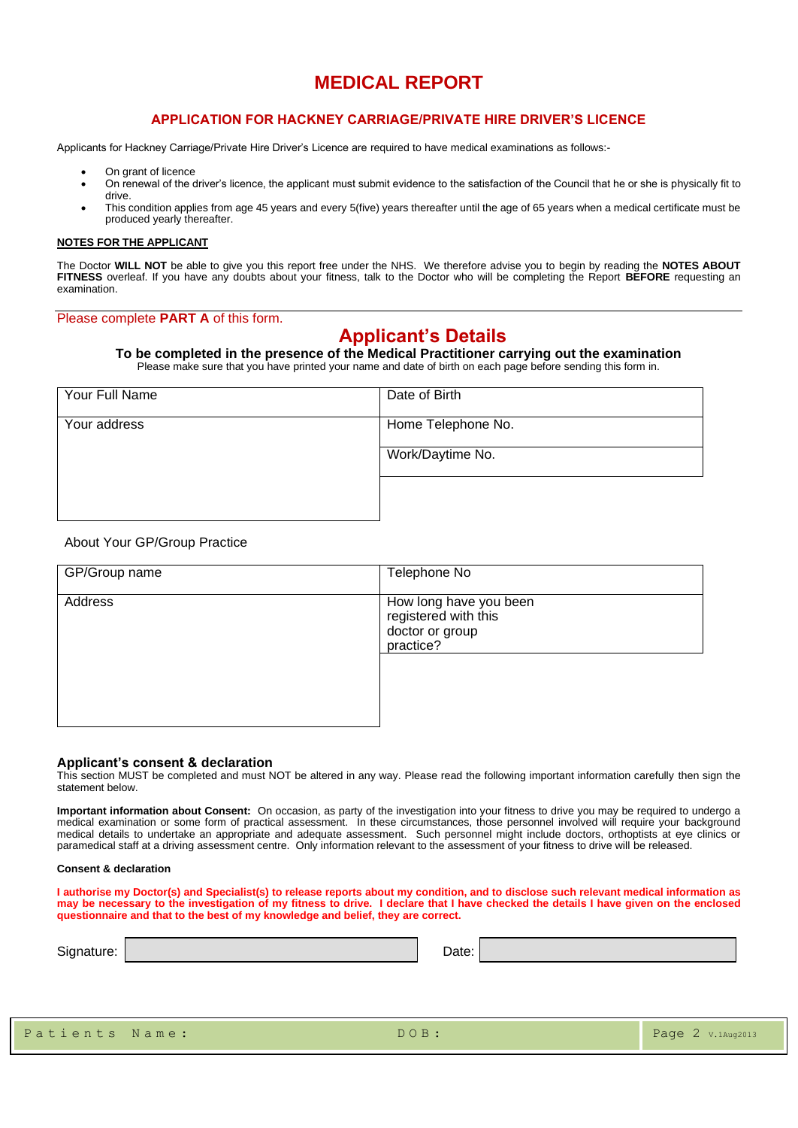# **MEDICAL REPORT**

#### **APPLICATION FOR HACKNEY CARRIAGE/PRIVATE HIRE DRIVER'S LICENCE**

Applicants for Hackney Carriage/Private Hire Driver's Licence are required to have medical examinations as follows:-

- On grant of licence
- On renewal of the driver's licence, the applicant must submit evidence to the satisfaction of the Council that he or she is physically fit to drive.
- This condition applies from age 45 years and every 5(five) years thereafter until the age of 65 years when a medical certificate must be produced yearly thereafter.

#### **NOTES FOR THE APPLICANT**

The Doctor **WILL NOT** be able to give you this report free under the NHS. We therefore advise you to begin by reading the **NOTES ABOUT FITNESS** overleaf. If you have any doubts about your fitness, talk to the Doctor who will be completing the Report **BEFORE** requesting an examination.

#### Please complete **PART A** of this form.

# **Applicant's Details**

**To be completed in the presence of the Medical Practitioner carrying out the examination** Please make sure that you have printed your name and date of birth on each page before sending this form in.

Your Full Name **Date of Birth** Your address  $\vert$  Home Telephone No. Work/Daytime No.

#### About Your GP/Group Practice

| GP/Group name | Telephone No                                                                   |
|---------------|--------------------------------------------------------------------------------|
| Address       | How long have you been<br>registered with this<br>doctor or group<br>practice? |

#### **Applicant's consent & declaration**

This section MUST be completed and must NOT be altered in any way. Please read the following important information carefully then sign the statement below.

**Important information about Consent:** On occasion, as party of the investigation into your fitness to drive you may be required to undergo a medical examination or some form of practical assessment. In these circumstances, those personnel involved will require your background medical details to undertake an appropriate and adequate assessment. Such personnel might include doctors, orthoptists at eye clinics or paramedical staff at a driving assessment centre. Only information relevant to the assessment of your fitness to drive will be released.

#### **Consent & declaration**

**I authorise my Doctor(s) and Specialist(s) to release reports about my condition, and to disclose such relevant medical information as may be necessary to the investigation of my fitness to drive. I declare that I have checked the details I have given on the enclosed questionnaire and that to the best of my knowledge and belief, they are correct.**

| Signature: | Date: |
|------------|-------|
|------------|-------|

|  |  |  |  |  |  |  |  |  | Patients Name: |  |  |  |  |
|--|--|--|--|--|--|--|--|--|----------------|--|--|--|--|
|--|--|--|--|--|--|--|--|--|----------------|--|--|--|--|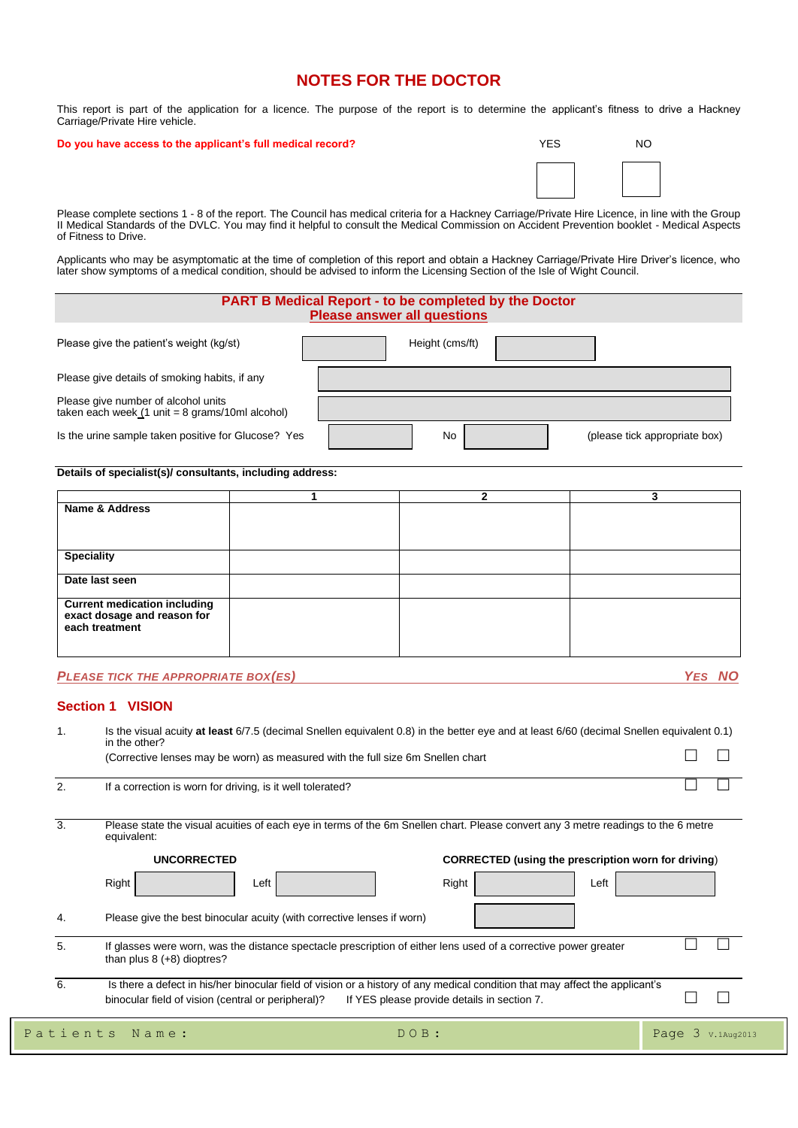### **NOTES FOR THE DOCTOR**

This report is part of the application for a licence. The purpose of the report is to determine the applicant's fitness to drive a Hackney Carriage/Private Hire vehicle.

#### **Do you have access to the applicant's full medical record?**

| <b>YES</b> | <b>NO</b> |
|------------|-----------|
|            |           |

Please complete sections 1 - 8 of the report. The Council has medical criteria for a Hackney Carriage/Private Hire Licence, in line with the Group II Medical Standards of the DVLC. You may find it helpful to consult the Medical Commission on Accident Prevention booklet - Medical Aspects of Fitness to Drive.

Applicants who may be asymptomatic at the time of completion of this report and obtain a Hackney Carriage/Private Hire Driver's licence, who later show symptoms of a medical condition, should be advised to inform the Licensing Section of the Isle of Wight Council.

#### **PART B Medical Report - to be completed by the Doctor Please answer all questions**

| Please give the patient's weight (kg/st)                                                                         | Height (cms/ft) |                               |
|------------------------------------------------------------------------------------------------------------------|-----------------|-------------------------------|
| Please give details of smoking habits, if any                                                                    |                 |                               |
| Please give number of alcohol units<br>taken each week $(1 \text{ unit} = 8 \text{ grams}/10 \text{ml alcohol})$ |                 |                               |
| Is the urine sample taken positive for Glucose? Yes                                                              | No.             | (please tick appropriate box) |

#### **Details of specialist(s)/ consultants, including address:**

|                                               | っ |  |
|-----------------------------------------------|---|--|
| Name & Address                                |   |  |
|                                               |   |  |
|                                               |   |  |
|                                               |   |  |
| <b>Speciality</b>                             |   |  |
|                                               |   |  |
| Date last seen                                |   |  |
|                                               |   |  |
| <b>Current medication including</b>           |   |  |
| exact dosage and reason for<br>each treatment |   |  |
|                                               |   |  |
|                                               |   |  |
|                                               |   |  |

#### *PLEASE TICK THE APPROPRIATE BOX(ES) YES NO*

#### **Section 1 VISION**

| 1 <sub>1</sub> | Is the visual acuity at least 6/7.5 (decimal Snellen equivalent 0.8) in the better eye and at least 6/60 (decimal Snellen equivalent 0.1)<br>in the other?                         |                                                            |                      |
|----------------|------------------------------------------------------------------------------------------------------------------------------------------------------------------------------------|------------------------------------------------------------|----------------------|
|                | (Corrective lenses may be worn) as measured with the full size 6m Snellen chart                                                                                                    |                                                            |                      |
| 2.             | If a correction is worn for driving, is it well tolerated?                                                                                                                         |                                                            |                      |
| 3.             | Please state the visual acuities of each eye in terms of the 6m Snellen chart. Please convert any 3 metre readings to the 6 metre<br>equivalent:                                   |                                                            |                      |
|                | <b>UNCORRECTED</b>                                                                                                                                                                 | <b>CORRECTED (using the prescription worn for driving)</b> |                      |
|                | Right<br>Left                                                                                                                                                                      | Right<br>Left                                              |                      |
| 4.             | Please give the best binocular acuity (with corrective lenses if worn)                                                                                                             |                                                            |                      |
| 5.             | If glasses were worn, was the distance spectacle prescription of either lens used of a corrective power greater<br>than plus $8 (+8)$ dioptres?                                    |                                                            |                      |
| 6.             | Is there a defect in his/her binocular field of vision or a history of any medical condition that may affect the applicant's<br>binocular field of vision (central or peripheral)? | If YES please provide details in section 7.                |                      |
|                | Patients<br>Name:                                                                                                                                                                  | DOB:                                                       | Page 3<br>V.1Aug2013 |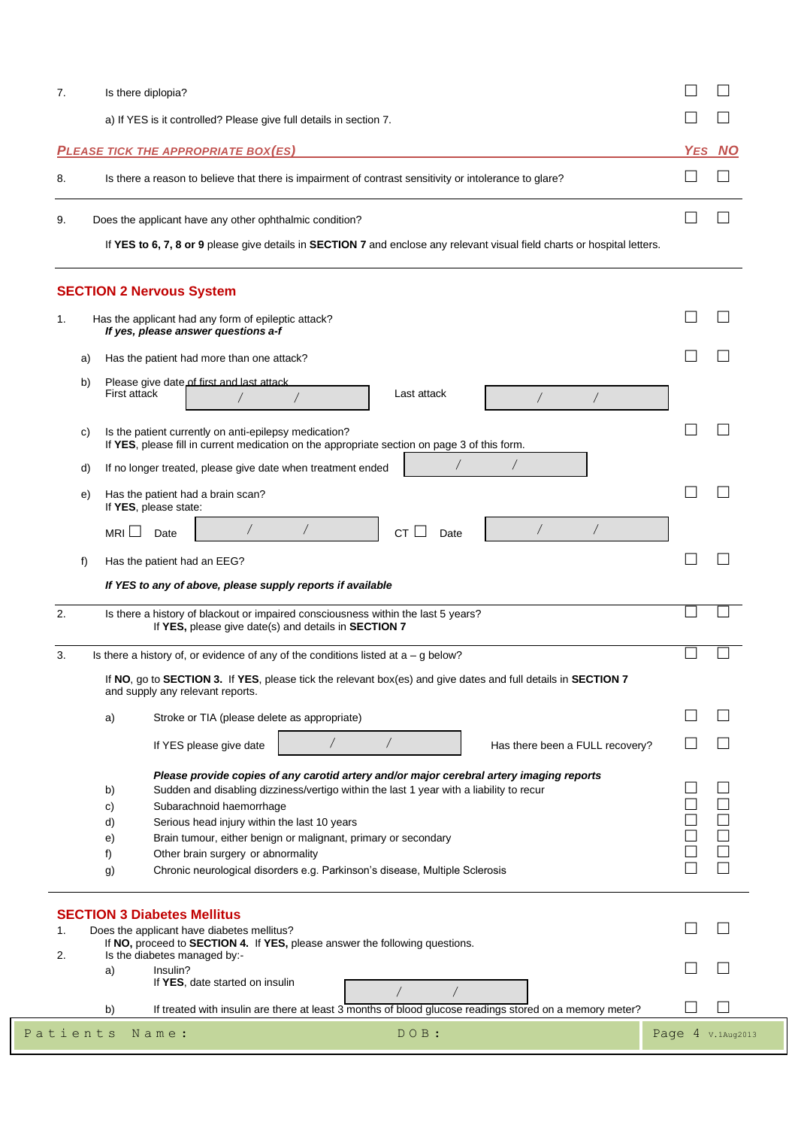| 7. | Is there diplopia?                                                                                                        |        |
|----|---------------------------------------------------------------------------------------------------------------------------|--------|
|    | a) If YES is it controlled? Please give full details in section 7.                                                        |        |
|    | <b>PLEASE TICK THE APPROPRIATE BOX(ES)</b>                                                                                | YES NO |
| 8. | Is there a reason to believe that there is impairment of contrast sensitivity or intolerance to glare?                    |        |
| 9. | Does the applicant have any other ophthalmic condition?                                                                   |        |
|    | If YES to 6, 7, 8 or 9 please give details in SECTION 7 and enclose any relevant visual field charts or hospital letters. |        |

| Has the patient had more than one attack?<br>Please give date of first and last attack.<br>First attack<br>Last attack<br>$\sqrt{2}$<br>Is the patient currently on anti-epilepsy medication?<br>If YES, please fill in current medication on the appropriate section on page 3 of this form.<br>$\sqrt{2}$<br>If no longer treated, please give date when treatment ended<br>Has the patient had a brain scan?<br>If YES, please state: |                                                                                                                                                                                                                                                                                                                                                                                                                                                                                                                                                                                                                                                                                                                                                                            |
|------------------------------------------------------------------------------------------------------------------------------------------------------------------------------------------------------------------------------------------------------------------------------------------------------------------------------------------------------------------------------------------------------------------------------------------|----------------------------------------------------------------------------------------------------------------------------------------------------------------------------------------------------------------------------------------------------------------------------------------------------------------------------------------------------------------------------------------------------------------------------------------------------------------------------------------------------------------------------------------------------------------------------------------------------------------------------------------------------------------------------------------------------------------------------------------------------------------------------|
|                                                                                                                                                                                                                                                                                                                                                                                                                                          |                                                                                                                                                                                                                                                                                                                                                                                                                                                                                                                                                                                                                                                                                                                                                                            |
|                                                                                                                                                                                                                                                                                                                                                                                                                                          |                                                                                                                                                                                                                                                                                                                                                                                                                                                                                                                                                                                                                                                                                                                                                                            |
|                                                                                                                                                                                                                                                                                                                                                                                                                                          |                                                                                                                                                                                                                                                                                                                                                                                                                                                                                                                                                                                                                                                                                                                                                                            |
|                                                                                                                                                                                                                                                                                                                                                                                                                                          |                                                                                                                                                                                                                                                                                                                                                                                                                                                                                                                                                                                                                                                                                                                                                                            |
|                                                                                                                                                                                                                                                                                                                                                                                                                                          |                                                                                                                                                                                                                                                                                                                                                                                                                                                                                                                                                                                                                                                                                                                                                                            |
| $\sqrt{2}$<br>$\sqrt{2}$<br>MRI $\sqcup$<br>$CT$ $\Box$<br>Date<br>Date                                                                                                                                                                                                                                                                                                                                                                  |                                                                                                                                                                                                                                                                                                                                                                                                                                                                                                                                                                                                                                                                                                                                                                            |
|                                                                                                                                                                                                                                                                                                                                                                                                                                          |                                                                                                                                                                                                                                                                                                                                                                                                                                                                                                                                                                                                                                                                                                                                                                            |
|                                                                                                                                                                                                                                                                                                                                                                                                                                          |                                                                                                                                                                                                                                                                                                                                                                                                                                                                                                                                                                                                                                                                                                                                                                            |
|                                                                                                                                                                                                                                                                                                                                                                                                                                          |                                                                                                                                                                                                                                                                                                                                                                                                                                                                                                                                                                                                                                                                                                                                                                            |
| If YES, please give date(s) and details in SECTION 7                                                                                                                                                                                                                                                                                                                                                                                     |                                                                                                                                                                                                                                                                                                                                                                                                                                                                                                                                                                                                                                                                                                                                                                            |
|                                                                                                                                                                                                                                                                                                                                                                                                                                          |                                                                                                                                                                                                                                                                                                                                                                                                                                                                                                                                                                                                                                                                                                                                                                            |
| If YES please give date<br>Has there been a FULL recovery?                                                                                                                                                                                                                                                                                                                                                                               |                                                                                                                                                                                                                                                                                                                                                                                                                                                                                                                                                                                                                                                                                                                                                                            |
|                                                                                                                                                                                                                                                                                                                                                                                                                                          |                                                                                                                                                                                                                                                                                                                                                                                                                                                                                                                                                                                                                                                                                                                                                                            |
| Sudden and disabling dizziness/vertigo within the last 1 year with a liability to recur                                                                                                                                                                                                                                                                                                                                                  |                                                                                                                                                                                                                                                                                                                                                                                                                                                                                                                                                                                                                                                                                                                                                                            |
| Subarachnoid haemorrhage                                                                                                                                                                                                                                                                                                                                                                                                                 |                                                                                                                                                                                                                                                                                                                                                                                                                                                                                                                                                                                                                                                                                                                                                                            |
| Serious head injury within the last 10 years                                                                                                                                                                                                                                                                                                                                                                                             |                                                                                                                                                                                                                                                                                                                                                                                                                                                                                                                                                                                                                                                                                                                                                                            |
| Brain tumour, either benign or malignant, primary or secondary                                                                                                                                                                                                                                                                                                                                                                           |                                                                                                                                                                                                                                                                                                                                                                                                                                                                                                                                                                                                                                                                                                                                                                            |
| Other brain surgery or abnormality                                                                                                                                                                                                                                                                                                                                                                                                       |                                                                                                                                                                                                                                                                                                                                                                                                                                                                                                                                                                                                                                                                                                                                                                            |
| Chronic neurological disorders e.g. Parkinson's disease, Multiple Sclerosis                                                                                                                                                                                                                                                                                                                                                              |                                                                                                                                                                                                                                                                                                                                                                                                                                                                                                                                                                                                                                                                                                                                                                            |
|                                                                                                                                                                                                                                                                                                                                                                                                                                          |                                                                                                                                                                                                                                                                                                                                                                                                                                                                                                                                                                                                                                                                                                                                                                            |
|                                                                                                                                                                                                                                                                                                                                                                                                                                          |                                                                                                                                                                                                                                                                                                                                                                                                                                                                                                                                                                                                                                                                                                                                                                            |
|                                                                                                                                                                                                                                                                                                                                                                                                                                          |                                                                                                                                                                                                                                                                                                                                                                                                                                                                                                                                                                                                                                                                                                                                                                            |
| Insulin?<br>If YES, date started on insulin                                                                                                                                                                                                                                                                                                                                                                                              |                                                                                                                                                                                                                                                                                                                                                                                                                                                                                                                                                                                                                                                                                                                                                                            |
|                                                                                                                                                                                                                                                                                                                                                                                                                                          |                                                                                                                                                                                                                                                                                                                                                                                                                                                                                                                                                                                                                                                                                                                                                                            |
|                                                                                                                                                                                                                                                                                                                                                                                                                                          | Has the patient had an EEG?<br>If YES to any of above, please supply reports if available<br>Is there a history of blackout or impaired consciousness within the last 5 years?<br>Is there a history of, or evidence of any of the conditions listed at $a - g$ below?<br>If NO, go to SECTION 3. If YES, please tick the relevant box(es) and give dates and full details in SECTION 7<br>and supply any relevant reports.<br>Stroke or TIA (please delete as appropriate)<br>Please provide copies of any carotid artery and/or major cerebral artery imaging reports<br><b>SECTION 3 Diabetes Mellitus</b><br>Does the applicant have diabetes mellitus?<br>If NO, proceed to SECTION 4. If YES, please answer the following questions.<br>Is the diabetes managed by:- |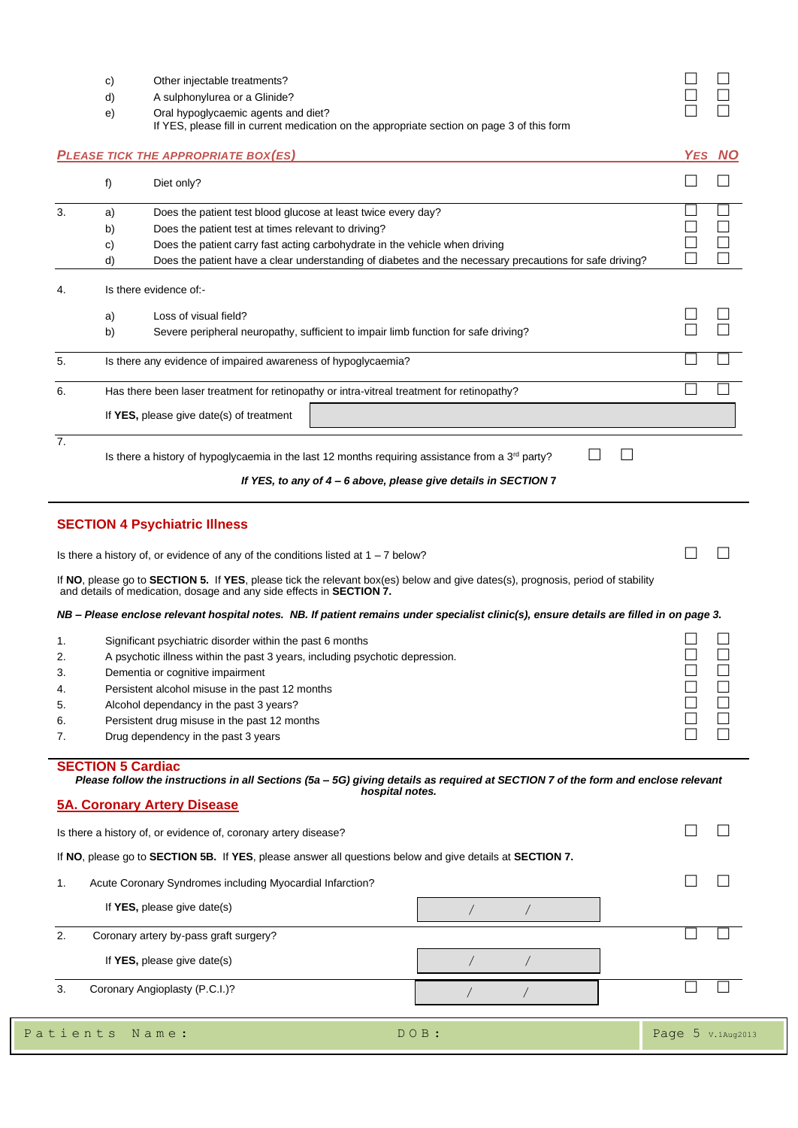|     | Other injectable treatments?        |  |
|-----|-------------------------------------|--|
| d). | A sulphonylurea or a Glinide?       |  |
| e). | Oral hypoglycaemic agents and diet? |  |

|    |                          | If YES, please fill in current medication on the appropriate section on page 3 of this form                                                                                                                                                                                                     |        |
|----|--------------------------|-------------------------------------------------------------------------------------------------------------------------------------------------------------------------------------------------------------------------------------------------------------------------------------------------|--------|
|    |                          | <b>PLEASE TICK THE APPROPRIATE BOX(ES)</b>                                                                                                                                                                                                                                                      | YES NO |
|    | f)                       | Diet only?                                                                                                                                                                                                                                                                                      |        |
| 3. | a)                       | Does the patient test blood glucose at least twice every day?                                                                                                                                                                                                                                   |        |
|    | b)                       | Does the patient test at times relevant to driving?                                                                                                                                                                                                                                             |        |
|    | C)                       | Does the patient carry fast acting carbohydrate in the vehicle when driving                                                                                                                                                                                                                     |        |
|    | d)                       | Does the patient have a clear understanding of diabetes and the necessary precautions for safe driving?                                                                                                                                                                                         |        |
| 4. |                          | Is there evidence of:-                                                                                                                                                                                                                                                                          |        |
|    | a)                       | Loss of visual field?                                                                                                                                                                                                                                                                           |        |
|    | b)                       | Severe peripheral neuropathy, sufficient to impair limb function for safe driving?                                                                                                                                                                                                              |        |
| 5. |                          | Is there any evidence of impaired awareness of hypoglycaemia?                                                                                                                                                                                                                                   |        |
| 6. |                          | Has there been laser treatment for retinopathy or intra-vitreal treatment for retinopathy?                                                                                                                                                                                                      |        |
|    |                          | If YES, please give date(s) of treatment                                                                                                                                                                                                                                                        |        |
| 7. |                          | Is there a history of hypoglycaemia in the last 12 months requiring assistance from a $3rd$ party?<br>If YES, to any of 4 - 6 above, please give details in SECTION 7                                                                                                                           |        |
|    |                          | Is there a history of, or evidence of any of the conditions listed at $1 - 7$ below?<br>If NO, please go to SECTION 5. If YES, please tick the relevant box(es) below and give dates(s), prognosis, period of stability<br>and details of medication, dosage and any side effects in SECTION 7. |        |
|    |                          | NB - Please enclose relevant hospital notes. NB. If patient remains under specialist clinic(s), ensure details are filled in on page 3.                                                                                                                                                         |        |
| 1. |                          | Significant psychiatric disorder within the past 6 months                                                                                                                                                                                                                                       |        |
| 2. |                          | A psychotic illness within the past 3 years, including psychotic depression.                                                                                                                                                                                                                    |        |
| 3. |                          | Dementia or cognitive impairment                                                                                                                                                                                                                                                                |        |
| 4. |                          | Persistent alcohol misuse in the past 12 months                                                                                                                                                                                                                                                 |        |
| 5. |                          | Alcohol dependancy in the past 3 years?                                                                                                                                                                                                                                                         |        |
| 7. |                          | Persistent drug misuse in the past 12 months<br>Drug dependency in the past 3 years                                                                                                                                                                                                             |        |
|    | <b>SECTION 5 Cardiac</b> | Please follow the instructions in all Sections (5a - 5G) giving details as required at SECTION 7 of the form and enclose relevant<br>hospital notes.<br><b>5A. Coronary Artery Disease</b>                                                                                                      |        |
|    |                          | Is there a history of, or evidence of, coronary artery disease?                                                                                                                                                                                                                                 |        |
|    |                          | If NO, please go to SECTION 5B. If YES, please answer all questions below and give details at SECTION 7.                                                                                                                                                                                        |        |
| 1. |                          | Acute Coronary Syndromes including Myocardial Infarction?                                                                                                                                                                                                                                       |        |
|    |                          | If $YES$ , please give date(s)                                                                                                                                                                                                                                                                  |        |
| 2. |                          | Coronary artery by-pass graft surgery?                                                                                                                                                                                                                                                          |        |
|    |                          | If $YES$ , please give date(s)                                                                                                                                                                                                                                                                  |        |
| 3. |                          | Coronary Angioplasty (P.C.I.)?                                                                                                                                                                                                                                                                  |        |

| Patients Name: | DOB: | Page $5$ v.1Aug2013 |
|----------------|------|---------------------|
|                |      |                     |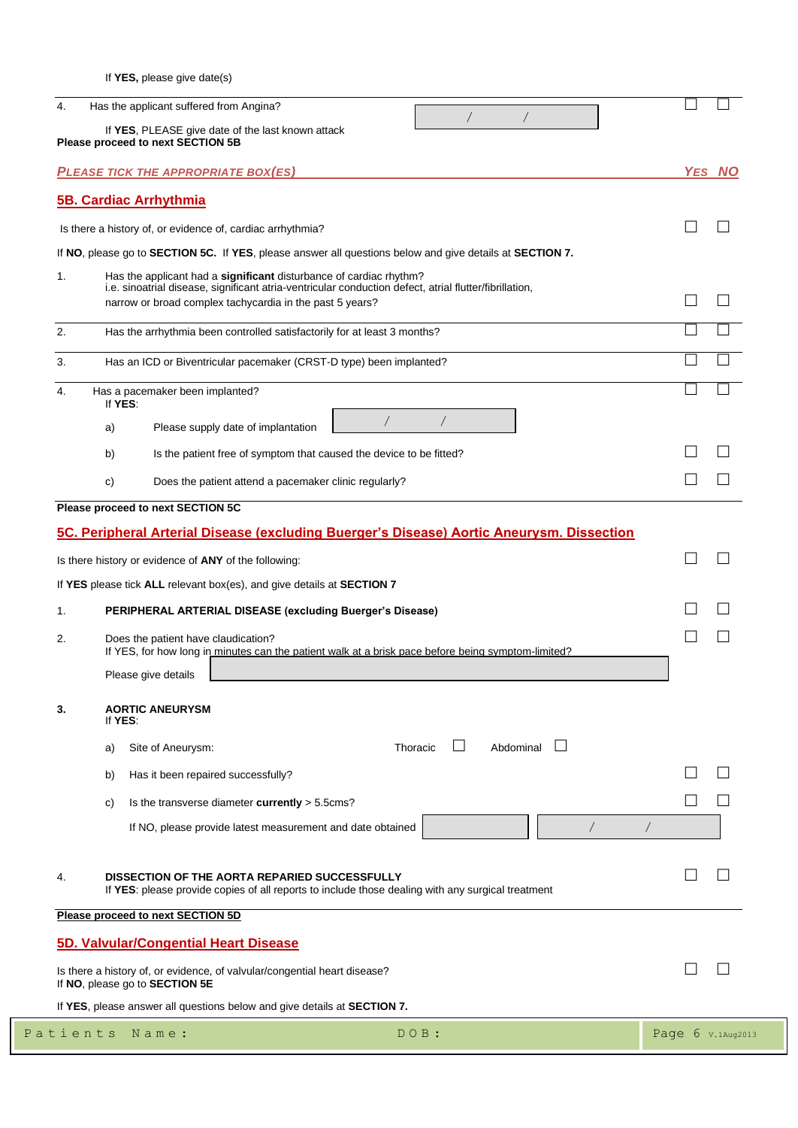If **YES,** please give date(s)

|                | $\sqrt{2}$                                                                                                                                                                   |            |
|----------------|------------------------------------------------------------------------------------------------------------------------------------------------------------------------------|------------|
|                | If YES, PLEASE give date of the last known attack<br>Please proceed to next SECTION 5B                                                                                       |            |
|                | <b>PLEASE TICK THE APPROPRIATE BOX(ES)</b>                                                                                                                                   | YES NO     |
|                | <b>5B. Cardiac Arrhythmia</b>                                                                                                                                                |            |
|                | Is there a history of, or evidence of, cardiac arrhythmia?                                                                                                                   |            |
|                | If NO, please go to SECTION 5C. If YES, please answer all questions below and give details at SECTION 7.                                                                     |            |
| 1.             | Has the applicant had a significant disturbance of cardiac rhythm?<br>i.e. sinoatrial disease, significant atria-ventricular conduction defect, atrial flutter/fibrillation, |            |
|                | narrow or broad complex tachycardia in the past 5 years?                                                                                                                     |            |
| 2.             | Has the arrhythmia been controlled satisfactorily for at least 3 months?                                                                                                     |            |
| 3.             | Has an ICD or Biventricular pacemaker (CRST-D type) been implanted?                                                                                                          |            |
| 4.             | Has a pacemaker been implanted?                                                                                                                                              |            |
|                | If YES:<br>Please supply date of implantation<br>a)                                                                                                                          |            |
|                | Is the patient free of symptom that caused the device to be fitted?<br>b)                                                                                                    |            |
|                | C)<br>Does the patient attend a pacemaker clinic regularly?                                                                                                                  |            |
|                | Please proceed to next SECTION 5C                                                                                                                                            |            |
|                | Is there history or evidence of ANY of the following:                                                                                                                        |            |
|                | If YES please tick ALL relevant box(es), and give details at SECTION 7                                                                                                       |            |
|                | PERIPHERAL ARTERIAL DISEASE (excluding Buerger's Disease)                                                                                                                    |            |
|                | Does the patient have claudication?<br>If YES, for how long in minutes can the patient walk at a brisk pace before being symptom-limited?                                    |            |
|                | Please give details                                                                                                                                                          |            |
|                | <b>AORTIC ANEURYSM</b><br>If YES:                                                                                                                                            |            |
|                | Abdominal<br>Thoracic<br>Site of Aneurysm:<br>a)                                                                                                                             |            |
|                | Has it been repaired successfully?<br>b)                                                                                                                                     |            |
|                | Is the transverse diameter currently > 5.5cms?<br>C)                                                                                                                         |            |
| 1.<br>2.<br>3. | If NO, please provide latest measurement and date obtained                                                                                                                   | $\sqrt{2}$ |
|                | DISSECTION OF THE AORTA REPARIED SUCCESSFULLY<br>If YES: please provide copies of all reports to include those dealing with any surgical treatment                           |            |
|                | Please proceed to next SECTION 5D                                                                                                                                            |            |
|                | 5D. Valvular/Congential Heart Disease                                                                                                                                        |            |
|                | Is there a history of, or evidence, of valvular/congential heart disease?<br>If NO, please go to SECTION 5E                                                                  |            |
| 4.             | If YES, please answer all questions below and give details at SECTION 7.                                                                                                     |            |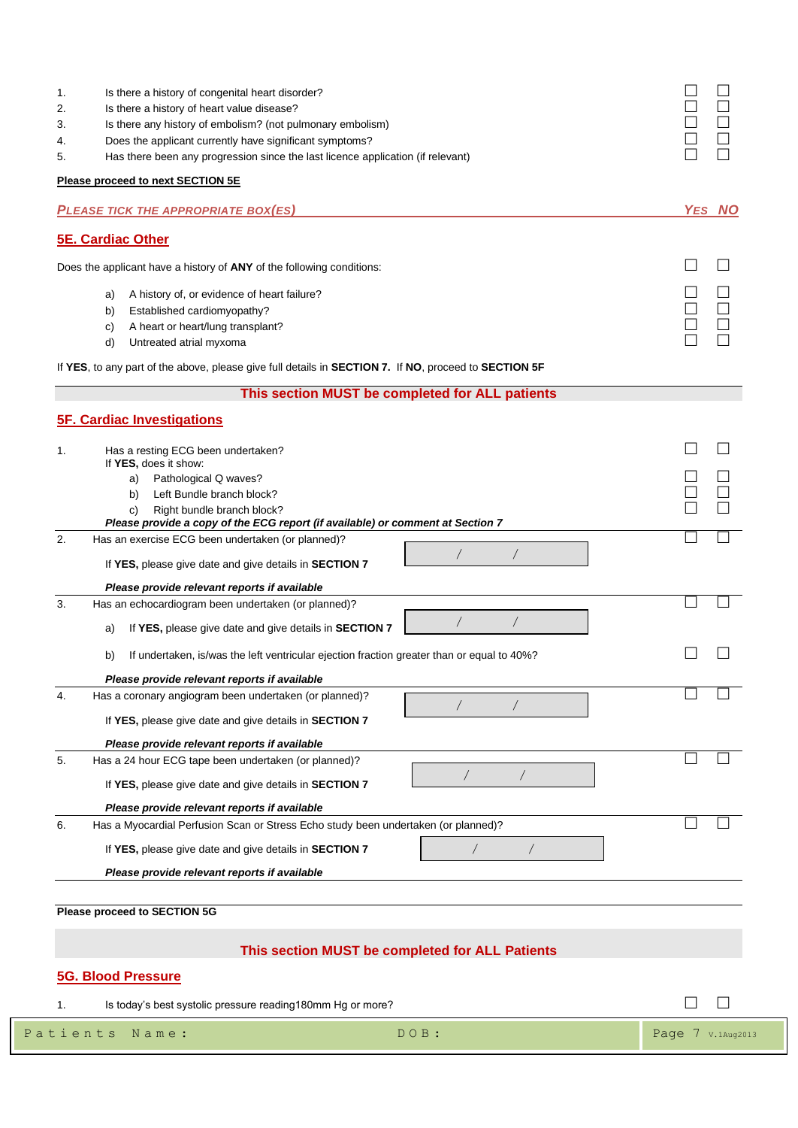| 1.<br>2. | Is there a history of congenital heart disorder?<br>Is there a history of heart value disease?                                      |                     |  |  |
|----------|-------------------------------------------------------------------------------------------------------------------------------------|---------------------|--|--|
| 3.       | Is there any history of embolism? (not pulmonary embolism)                                                                          |                     |  |  |
| 4.       | Does the applicant currently have significant symptoms?                                                                             |                     |  |  |
| 5.       | Has there been any progression since the last licence application (if relevant)                                                     |                     |  |  |
|          | Please proceed to next SECTION 5E                                                                                                   |                     |  |  |
|          | <b>PLEASE TICK THE APPROPRIATE BOX(ES)</b>                                                                                          | <b>YES NO</b>       |  |  |
|          | <b>5E. Cardiac Other</b>                                                                                                            |                     |  |  |
|          | Does the applicant have a history of ANY of the following conditions:                                                               |                     |  |  |
|          | A history of, or evidence of heart failure?<br>a)                                                                                   |                     |  |  |
|          | Established cardiomyopathy?<br>b)                                                                                                   |                     |  |  |
|          | A heart or heart/lung transplant?<br>C)<br>Untreated atrial myxoma<br>d)                                                            |                     |  |  |
|          | If YES, to any part of the above, please give full details in SECTION 7. If NO, proceed to SECTION 5F                               |                     |  |  |
|          | This section MUST be completed for ALL patients                                                                                     |                     |  |  |
|          | <b>5F. Cardiac Investigations</b>                                                                                                   |                     |  |  |
| 1.       | Has a resting ECG been undertaken?                                                                                                  |                     |  |  |
|          | If YES, does it show:                                                                                                               |                     |  |  |
|          | Pathological Q waves?<br>a)<br>Left Bundle branch block?<br>b)                                                                      |                     |  |  |
|          | Right bundle branch block?<br>C)                                                                                                    |                     |  |  |
| 2.       | Please provide a copy of the ECG report (if available) or comment at Section 7<br>Has an exercise ECG been undertaken (or planned)? |                     |  |  |
|          |                                                                                                                                     |                     |  |  |
|          | If YES, please give date and give details in SECTION 7                                                                              |                     |  |  |
| 3.       | Please provide relevant reports if available<br>Has an echocardiogram been undertaken (or planned)?                                 |                     |  |  |
|          | $\sqrt{2}$                                                                                                                          |                     |  |  |
|          | If YES, please give date and give details in SECTION 7<br>a)                                                                        |                     |  |  |
|          | If undertaken, is/was the left ventricular ejection fraction greater than or equal to 40%?<br>b)                                    |                     |  |  |
|          | Please provide relevant reports if available                                                                                        |                     |  |  |
| 4.       | Has a coronary angiogram been undertaken (or planned)?                                                                              |                     |  |  |
|          | If YES, please give date and give details in SECTION 7                                                                              |                     |  |  |
|          | Please provide relevant reports if available                                                                                        |                     |  |  |
| 5.       | Has a 24 hour ECG tape been undertaken (or planned)?                                                                                |                     |  |  |
|          | If YES, please give date and give details in SECTION 7                                                                              |                     |  |  |
|          | Please provide relevant reports if available                                                                                        |                     |  |  |
| 6.       | Has a Myocardial Perfusion Scan or Stress Echo study been undertaken (or planned)?                                                  |                     |  |  |
|          | If YES, please give date and give details in SECTION 7                                                                              |                     |  |  |
|          | Please provide relevant reports if available                                                                                        |                     |  |  |
|          |                                                                                                                                     |                     |  |  |
|          | <b>Please proceed to SECTION 5G</b>                                                                                                 |                     |  |  |
|          | This section MUST be completed for ALL Patients                                                                                     |                     |  |  |
|          | <b>5G. Blood Pressure</b>                                                                                                           |                     |  |  |
| 1.       | Is today's best systolic pressure reading180mm Hg or more?                                                                          |                     |  |  |
|          | Patients<br>$DOB$ :<br>Name:                                                                                                        |                     |  |  |
|          |                                                                                                                                     | Page $7$ v.1Aug2013 |  |  |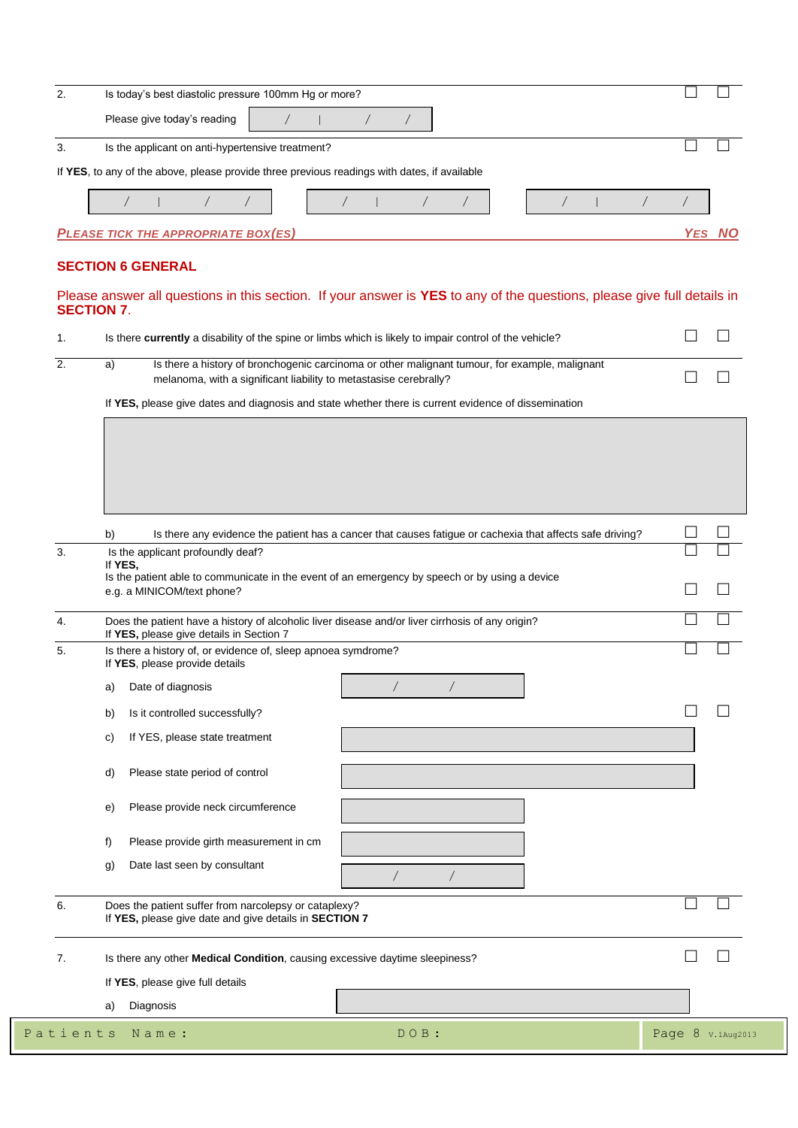|                      | Is today's best diastolic pressure 100mm Hg or more?                                                                                                                      |                   |
|----------------------|---------------------------------------------------------------------------------------------------------------------------------------------------------------------------|-------------------|
|                      | Please give today's reading                                                                                                                                               |                   |
| 3.                   | Is the applicant on anti-hypertensive treatment?                                                                                                                          |                   |
|                      | If YES, to any of the above, please provide three previous readings with dates, if available                                                                              |                   |
|                      |                                                                                                                                                                           |                   |
|                      |                                                                                                                                                                           |                   |
|                      | <b>PLEASE TICK THE APPROPRIATE BOX(ES)</b>                                                                                                                                | YES NC            |
|                      | <b>SECTION 6 GENERAL</b>                                                                                                                                                  |                   |
|                      | Please answer all questions in this section. If your answer is YES to any of the questions, please give full details in<br><b>SECTION 7.</b>                              |                   |
| 1.                   | Is there currently a disability of the spine or limbs which is likely to impair control of the vehicle?                                                                   |                   |
| 2.                   | Is there a history of bronchogenic carcinoma or other malignant tumour, for example, malignant<br>a)<br>melanoma, with a significant liability to metastasise cerebrally? |                   |
|                      | If YES, please give dates and diagnosis and state whether there is current evidence of dissemination                                                                      |                   |
|                      |                                                                                                                                                                           |                   |
|                      |                                                                                                                                                                           |                   |
|                      |                                                                                                                                                                           |                   |
|                      |                                                                                                                                                                           |                   |
|                      |                                                                                                                                                                           |                   |
|                      |                                                                                                                                                                           |                   |
|                      | Is there any evidence the patient has a cancer that causes fatigue or cachexia that affects safe driving?<br>b)                                                           |                   |
| 3.                   | Is the applicant profoundly deaf?<br>If YES,                                                                                                                              |                   |
|                      | Is the patient able to communicate in the event of an emergency by speech or by using a device                                                                            |                   |
|                      | e.g. a MINICOM/text phone?                                                                                                                                                |                   |
| 4.                   | Does the patient have a history of alcoholic liver disease and/or liver cirrhosis of any origin?<br>If YES, please give details in Section 7                              |                   |
| 5.                   | Is there a history of, or evidence of, sleep apnoea symdrome?<br>If YES, please provide details                                                                           |                   |
|                      | $\sqrt{2}$<br>Date of diagnosis<br>a)                                                                                                                                     |                   |
|                      | Is it controlled successfully?<br>b)                                                                                                                                      |                   |
|                      |                                                                                                                                                                           |                   |
|                      | If YES, please state treatment<br>C)                                                                                                                                      |                   |
|                      |                                                                                                                                                                           |                   |
|                      | Please state period of control<br>d)                                                                                                                                      |                   |
|                      |                                                                                                                                                                           |                   |
|                      | Please provide neck circumference<br>e)                                                                                                                                   |                   |
|                      | Please provide girth measurement in cm<br>f)                                                                                                                              |                   |
|                      |                                                                                                                                                                           |                   |
|                      | Date last seen by consultant<br>g)<br>$\sqrt{2}$                                                                                                                          |                   |
|                      | Does the patient suffer from narcolepsy or cataplexy?<br>If YES, please give date and give details in SECTION 7                                                           |                   |
|                      | Is there any other Medical Condition, causing excessive daytime sleepiness?                                                                                               |                   |
|                      |                                                                                                                                                                           |                   |
|                      | If YES, please give full details                                                                                                                                          |                   |
| 6.<br>7.<br>Patients | Diagnosis<br>a)<br>Name:<br>DOB:                                                                                                                                          | Page 8 v.1Aug2013 |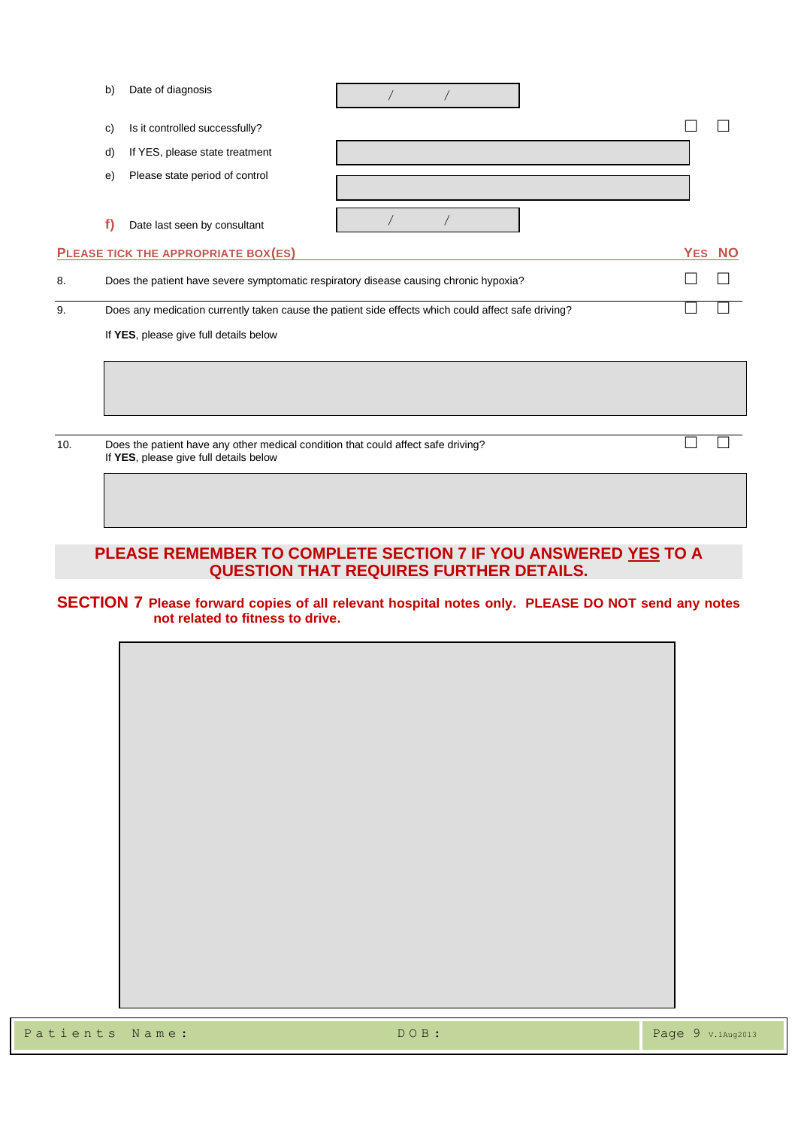|     | b) | Date of diagnosis                                                                                                           |  |  |        |  |
|-----|----|-----------------------------------------------------------------------------------------------------------------------------|--|--|--------|--|
|     | c) | Is it controlled successfully?                                                                                              |  |  |        |  |
|     | d) | If YES, please state treatment                                                                                              |  |  |        |  |
|     | e) | Please state period of control                                                                                              |  |  |        |  |
|     | f) | Date last seen by consultant                                                                                                |  |  |        |  |
|     |    | PLEASE TICK THE APPROPRIATE BOX(ES)                                                                                         |  |  | YES NO |  |
| 8.  |    | Does the patient have severe symptomatic respiratory disease causing chronic hypoxia?                                       |  |  |        |  |
| 9.  |    | Does any medication currently taken cause the patient side effects which could affect safe driving?                         |  |  |        |  |
|     |    | If YES, please give full details below                                                                                      |  |  |        |  |
|     |    |                                                                                                                             |  |  |        |  |
|     |    |                                                                                                                             |  |  |        |  |
| 10. |    | Does the patient have any other medical condition that could affect safe driving?<br>If YES, please give full details below |  |  |        |  |
|     |    |                                                                                                                             |  |  |        |  |

### **PLEASE REMEMBER TO COMPLETE SECTION 7 IF YOU ANSWERED YES TO A QUESTION THAT REQUIRES FURTHER DETAILS.**

#### **SECTION 7 Please forward copies of all relevant hospital notes only. PLEASE DO NOT send any notes not related to fitness to drive.**



 $\mathbf{r}$